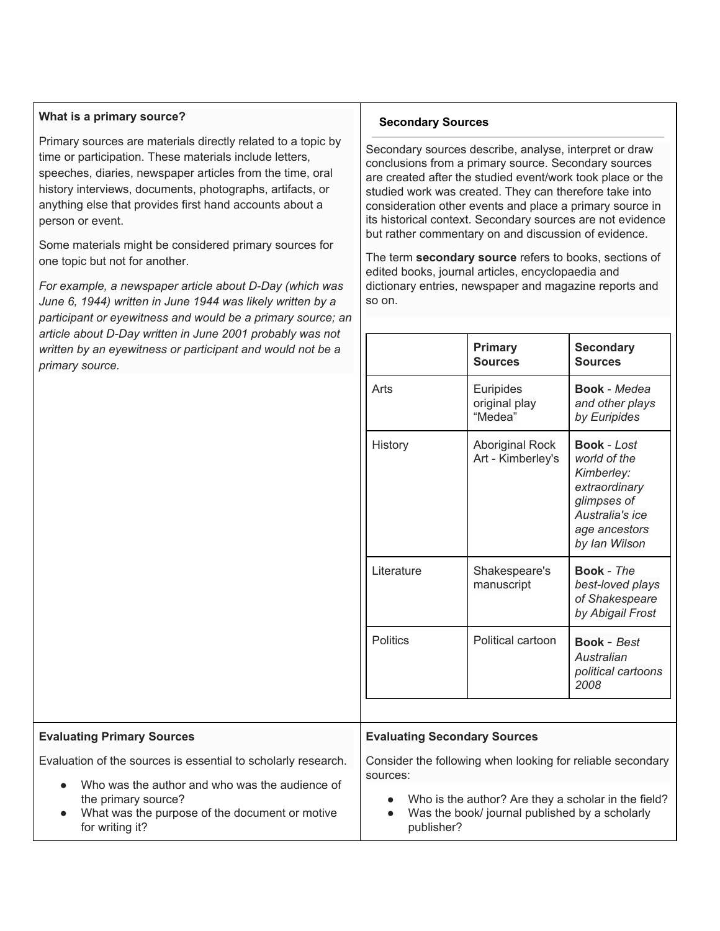## **What is a primary source?**

Primary sources are materials directly related to a topic by time or participation. These materials include letters, speeches, diaries, newspaper articles from the time, oral history interviews, documents, photographs, artifacts, or anything else that provides first hand accounts about a person or event.

Some materials might be considered primary sources for one topic but not for another.

*For example, a newspaper article about D-Day (which was June 6, 1944) written in June 1944 was likely written by a participant or eyewitness and would be a primary source; an article about D-Day written in June 2001 probably was not written by an eyewitness or participant and would not be a primary source.*

## **Secondary Sources**

Secondary sources describe, analyse, interpret or draw conclusions from a primary source. Secondary sources are created after the studied event/work took place or the studied work was created. They can therefore take into consideration other events and place a primary source in its historical context. Secondary sources are not evidence but rather commentary on and discussion of evidence.

The term **secondary source** refers to books, sections of edited books, journal articles, encyclopaedia and dictionary entries, newspaper and magazine reports and so on.

| article about D-Day written in June 2001 probably was not                     |                                                            |                                             |                                                                                                                                       |
|-------------------------------------------------------------------------------|------------------------------------------------------------|---------------------------------------------|---------------------------------------------------------------------------------------------------------------------------------------|
| written by an eyewitness or participant and would not be a<br>primary source. |                                                            | <b>Primary</b><br><b>Sources</b>            | <b>Secondary</b><br><b>Sources</b>                                                                                                    |
|                                                                               | Arts                                                       | Euripides<br>original play<br>"Medea"       | <b>Book</b> - Medea<br>and other plays<br>by Euripides                                                                                |
|                                                                               | History                                                    | <b>Aboriginal Rock</b><br>Art - Kimberley's | <b>Book</b> - Lost<br>world of the<br>Kimberley:<br>extraordinary<br>glimpses of<br>Australia's ice<br>age ancestors<br>by Ian Wilson |
|                                                                               | Literature                                                 | Shakespeare's<br>manuscript                 | Book - The<br>best-loved plays<br>of Shakespeare<br>by Abigail Frost                                                                  |
|                                                                               | <b>Politics</b>                                            | Political cartoon                           | <b>Book</b> - Best<br>Australian<br>political cartoons<br>2008                                                                        |
|                                                                               |                                                            |                                             |                                                                                                                                       |
| <b>Evaluating Primary Sources</b>                                             | <b>Evaluating Secondary Sources</b>                        |                                             |                                                                                                                                       |
| Evaluation of the sources is essential to scholarly research.                 | Consider the following when looking for reliable secondary |                                             |                                                                                                                                       |

| $\bullet$ | Who was the author and who was the audience of |
|-----------|------------------------------------------------|
|           | the primary source?                            |

What was the purpose of the document or motive for writing it?

Who is the author? Are they a scholar in the field?

• Was the book/ journal published by a scholarly publisher?

sources: